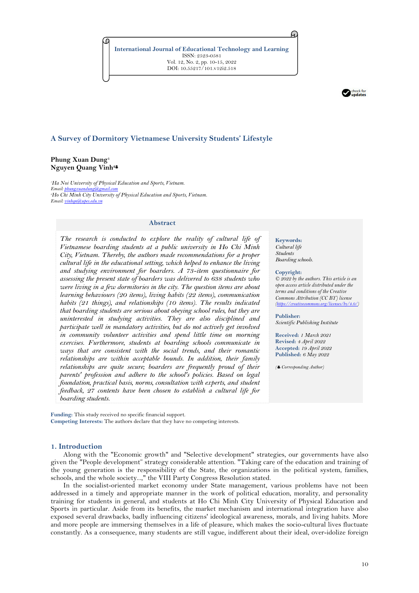**International Journal of Educational Technology and Learning** ISSN: 2523-0581 Vol. 12, No. 2, pp. 10-15, 2022 DOI: 10.55217/101.v12i2.518



# **A Survey of Dormitory Vietnamese University Students' Lifestyle**

## **Phung Xuan Dung<sup>1</sup> Nguyen Quang Vinh<sup>2</sup>**

*<sup>1</sup>Ha Noi University of Physical Education and Sports, Vietnam. Email: phung <sup>2</sup>Ho Chi Minh City University of Physical Education and Sports, Vietnam. Email: vinhqn* 

#### **Abstract**

*The research is conducted to explore the reality of cultural life of Vietnamese boarding students at a public university in Ho Chi Minh City, Vietnam. Thereby, the authors made recommendations for a proper cultural life in the educational setting, which helped to enhance the living and studying environment for boarders. A 73-item questionnaire for assessing the present state of boarders was delivered to 638 students who were living in a few dormitories in the city. The question items are about learning behaviours (20 items), living habits (22 items), communication habits (21 things), and relationships (10 items). The results indicated that boarding students are serious about obeying school rules, but they are uninterested in studying activities. They are also disciplined and participate well in mandatory activities, but do not actively get involved in community volunteer activities and spend little time on morning exercises. Furthermore, students at boarding schools communicate in ways that are consistent with the social trends, and their romantic relationships are within acceptable bounds. In addition, their family relationships are quite secure; boarders are frequently proud of their parents' profession and adhere to the school's policies. Based on legal foundation, practical basis, norms, consultation with experts, and student feedback, 27 contents have been chosen to establish a cultural life for boarding students.*

**Funding:** This study received no specific financial support. **Competing Interests:** The authors declare that they have no competing interests.

## **1. Introduction**

Along with the "Economic growth" and "Selective development" strategies, our governments have also given the "People development" strategy considerable attention. "Taking care of the education and training of the young generation is the responsibility of the State, the organizations in the political system, families, schools, and the whole society...," the VIII Party Congress Resolution stated.

In the socialist-oriented market economy under State management, various problems have not been addressed in a timely and appropriate manner in the work of political education, morality, and personality training for students in general, and students at Ho Chi Minh City University of Physical Education and Sports in particular. Aside from its benefits, the market mechanism and international integration have also exposed several drawbacks, badly influencing citizens' ideological awareness, morals, and living habits. More and more people are immersing themselves in a life of pleasure, which makes the socio-cultural lives fluctuate constantly. As a consequence, many students are still vague, indifferent about their ideal, over-idolize foreign

**Keywords:** *Cultural life Students Boarding schools.*

A.

#### **Copyright:**

*© 2022 by the authors. This article is an open access article distributed under the terms and conditions of the Creative Commons Attribution (CC BY) license (https://creative* 

**Publisher:**  *Scientific Publishing Institute*

**Received:** *1 March 2021* **Revised:** *4 April 2022* **Accepted:** *19 April 2022* **Published:** *6 May 2022*

*( Corresponding Author)*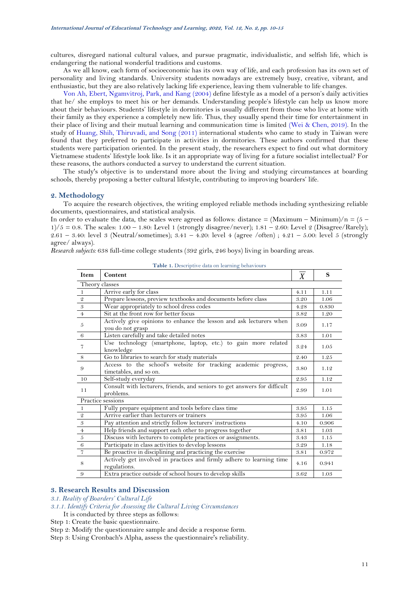cultures, disregard national cultural values, and pursue pragmatic, individualistic, and selfish life, which is endangering the national wonderful traditions and customs.

As we all know, each form of socioeconomic has its own way of life, and each profession has its own set of personality and living standards. University students nowadays are extremely busy, creative, vibrant, and enthusiastic, but they are also relatively lacking life experience, leaving them vulnerable to life changes.

[Von Ah, Ebert, Ngamvitroj, Park, and Kang \(2004\)](#page-5-0) define lifestyle as a model of a person's daily activities that he/ she employs to meet his or her demands. Understanding people's lifestyle can help us know more about their behaviours. Students' lifestyle in dormitories is usually different from those who live at home with their family as they experience a completely new life. Thus, they usually spend their time for entertainment in their place of living and their mutual learning and communication time is limited [\(Wei & Chen, 2019\)](#page-5-1). In the study of [Huang, Shih, Thiruvadi, and Song \(2011\)](#page-5-2) international students who came to study in Taiwan were found that they preferred to participate in activities in dormitories. These authors confirmed that these students were participation oriented. In the present study, the researchers expect to find out what dormitory Vietnamese students' lifestyle look like. Is it an appropriate way of living for a future socialist intellectual? For these reasons, the authors conducted a survey to understand the current situation.

The study's objective is to understand more about the living and studying circumstances at boarding schools, thereby proposing a better cultural lifestyle, contributing to improving boarders' life.

# **2. Methodology**

To acquire the research objectives, the writing employed reliable methods including synthesizing reliable documents, questionnaires, and statistical analysis.

In order to evaluate the data, the scales were agreed as follows: distance =  $(Maximum - Minimum)/n = (5 1/5 = 0.8$ . The scales:  $1.00 - 1.80$ : Level 1 (strongly disagree/never);  $1.81 - 2.60$ : Level 2 (Disagree/Rarely); 2.61 – 3.40: level 3 (Neutral/sometimes); 3.41 – 4.20: level 4 (agree /often) ; 4.21 – 5.00: level 5 (strongly agree/ always).

<span id="page-1-0"></span>*Research subjects:* 638 full-time college students (392 girls, 246 boys) living in boarding areas.

| Item                                    | Content                                                                                  | $\boldsymbol{X}$ | S     |
|-----------------------------------------|------------------------------------------------------------------------------------------|------------------|-------|
| Theory classes                          |                                                                                          |                  |       |
| $\mathbf{1}$                            | Arrive early for class                                                                   | 4.11             | 1.11  |
| $\mathbf 2$                             | Prepare lessons, preview textbooks and documents before class                            | 3.20             | 1.06  |
| $\sqrt{3}$                              | Wear appropriately to school dress codes                                                 | 4.28             | 0.830 |
| $\overline{4}$                          | Sit at the front row for better focus                                                    | 3.82             | 1.20  |
| $\sqrt{5}$                              | Actively give opinions to enhance the lesson and ask lecturers when<br>you do not grasp  | 3.09             | 1.17  |
| -6                                      | Listen carefully and take detailed notes                                                 | 3.83             | 1.01  |
| $\overline{7}$                          | Use technology (smartphone, laptop, etc.) to gain more related<br>knowledge              | 3.24             | 1.05  |
| 8                                       | Go to libraries to search for study materials                                            | 2.40             | 1.25  |
| 9                                       | Access to the school's website for tracking academic progress,<br>timetables, and so on. | 3.80             | 1.12  |
| 10                                      | Self-study everyday                                                                      | 2.95             | 1.12  |
| 11                                      | Consult with lecturers, friends, and seniors to get answers for difficult<br>problems.   | 2.99             | 1.01  |
|                                         | Practice sessions                                                                        |                  |       |
| $\mathbf{1}$                            | Fully prepare equipment and tools before class time                                      | 3.95             | 1.15  |
| $\mathfrak{D}$                          | Arrive earlier than lecturers or trainers                                                | 3.95             | 1.06  |
| $\frac{3}{2}$                           | Pay attention and strictly follow lecturers' instructions                                | 4.10             | 0.906 |
| $\boldsymbol{4}$                        | Help friends and support each other to progress together                                 | 3.81             | 1.03  |
| $\begin{array}{c}\n5 \\ 6\n\end{array}$ | Discuss with lecturers to complete practices or assignments.                             | 3.43             | 1.15  |
|                                         | Participate in class activities to develop lessons                                       | 3.29             | 1.18  |
| $\overline{7}$                          | Be proactive in disciplining and practicing the exercise                                 | 3.81             | 0.972 |
| $\,$ 8 $\,$                             | Actively get involved in practices and firmly adhere to learning time<br>regulations.    | 4.16             | 0.941 |
| 9                                       | Extra practice outside of school hours to develop skills                                 | 3.62             | 1.03  |

**Table 1.** Descriptive data on learning behaviours

# **3. Research Results and Discussion**

*3.1. Reality of Boarders' Cultural Life*

*3.1.1. Identify Criteria for Assessing the Cultural Living Circumstances* It is conducted by three steps as follows:

- Step 1: Create the basic questionnaire.
- Step 2: Modify the questionnaire sample and decide a response form.
- Step 3: Using Cronbach's Alpha, assess the questionnaire's reliability.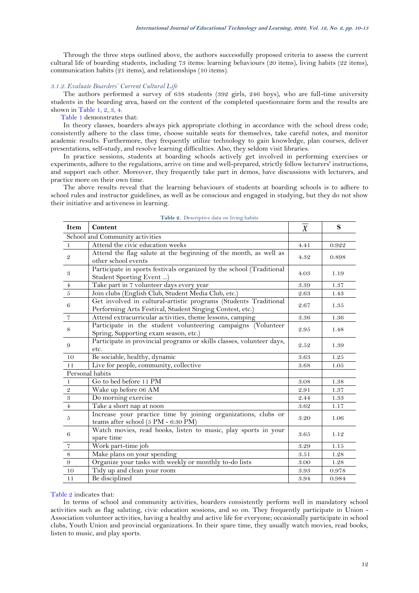Through the three steps outlined above, the authors successfully proposed criteria to assess the current cultural life of boarding students, including 73 items: learning behaviours (20 items), living habits (22 items), communication habits (21 items), and relationships (10 items).

#### *3.1.2. Evaluate Boarders' Current Cultural Life*

The authors performed a survey of 638 students (392 girls, 246 boys), who are full-time university students in the boarding area, based on the content of the completed questionnaire form and the results are shown in [Table 1,](#page-1-0) [2,](#page-2-0) [3,](#page-3-0) [4.](#page-3-1)

[Table 1](#page-1-0) demonstrates that:

In theory classes, boarders always pick appropriate clothing in accordance with the school dress code; consistently adhere to the class time, choose suitable seats for themselves, take careful notes, and monitor academic results. Furthermore, they frequently utilize technology to gain knowledge, plan courses, deliver presentations, self-study, and resolve learning difficulties. Also, they seldom visit libraries.

In practice sessions, students at boarding schools actively get involved in performing exercises or experiments, adhere to the regulations, arrive on time and well-prepared, strictly follow lecturers' instructions, and support each other. Moreover, they frequently take part in demos, have discussions with lecturers, and practice more on their own time.

The above results reveal that the learning behaviours of students at boarding schools is to adhere to school rules and instructor guidelines, as well as be conscious and engaged in studying, but they do not show their initiative and activeness in learning.

<span id="page-2-0"></span>

| Item                 | Content                                                                                                                      | $\overline{X}$ | S     |
|----------------------|------------------------------------------------------------------------------------------------------------------------------|----------------|-------|
|                      | School and Community activities                                                                                              |                |       |
| $\mathbf{1}$         | Attend the civic education weeks                                                                                             | 4.41           | 0.922 |
| $\mathfrak{D}$       | Attend the flag salute at the beginning of the month, as well as<br>other school events                                      | 4.32           | 0.898 |
| $\boldsymbol{\beta}$ | Participate in sports festivals organized by the school (Traditional<br>Student Sporting Event)                              | 4.03           | 1.19  |
| $\,4\,$              | Take part in 7 volunteer days every year                                                                                     | 3.39           | 1.37  |
| $\sqrt{5}$           | Join clubs (English Club, Student Media Club, etc.)                                                                          | 2.63           | 1.43  |
| 6                    | Get involved in cultural-artistic programs (Students Traditional<br>Performing Arts Festival, Student Singing Contest, etc.) | 2.67           | 1.35  |
| $\overline{7}$       | Attend extracurricular activities, theme lessons, camping                                                                    | 3.36           | 1.36  |
| $\,$ 8 $\,$          | Participate in the student volunteering campaigns (Volunteer<br>Spring, Supporting exam season, etc.)                        | 2.95           | 1.48  |
| $9^{\circ}$          | Participate in provincial programs or skills classes, volunteer days,<br>etc.                                                | 2.52           | 1.39  |
| 10                   | Be sociable, healthy, dynamic                                                                                                | 3.63           | 1.25  |
| 11                   | Live for people, community, collective                                                                                       | 3.68           | 1.05  |
|                      | Personal habits                                                                                                              |                |       |
| $\,1$                | Go to bed before 11 PM                                                                                                       | 3.08           | 1.38  |
|                      | Wake up before 06 AM                                                                                                         | 2.91           | 1.37  |
| $\frac{2}{3}$        | Do morning exercise                                                                                                          | 2.44           | 1.33  |
| $\bf 4$              | Take a short nap at noon                                                                                                     | 3.62           | 1.17  |
| $\overline{5}$       | Increase your practice time by joining organizations, clubs or<br>teams after school (5 PM - 6:30 PM)                        | 3.20           | 1.06  |
| 6                    | Watch movies, read books, listen to music, play sports in your<br>spare time                                                 | 3.65           | 1.12  |
| $\sqrt{7}$           | Work part-time job                                                                                                           | 3.29           | 1.15  |
| $\,8\,$              | Make plans on your spending                                                                                                  | 3.51           | 1.28  |
| $\boldsymbol{9}$     | Organize your tasks with weekly or monthly to-do lists                                                                       | $3.00\,$       | 1.28  |
| 10                   | Tidy up and clean your room                                                                                                  | 3.93           | 0.978 |
| 11                   | Be disciplined                                                                                                               | 3.94           | 0.984 |

|  | Table 2. Descriptive data on living habits |  |  |  |
|--|--------------------------------------------|--|--|--|
|--|--------------------------------------------|--|--|--|

### [Table 2](#page-2-0) indicates that:

In terms of school and community activities, boarders consistently perform well in mandatory school activities such as flag saluting, civic education sessions, and so on. They frequently participate in Union - Association volunteer activities, having a healthy and active life for everyone; occasionally participate in school clubs, Youth Union and provincial organizations. In their spare time, they usually watch movies, read books, listen to music, and play sports.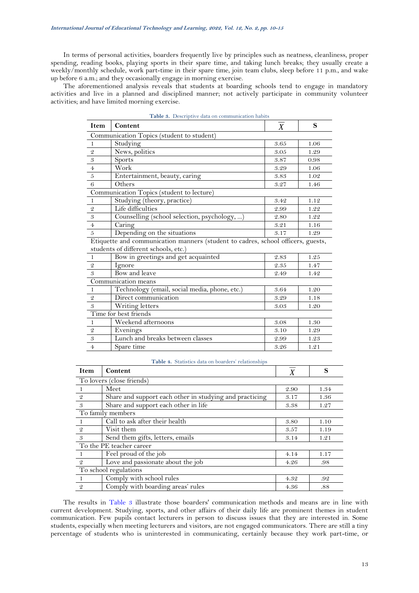In terms of personal activities, boarders frequently live by principles such as neatness, cleanliness, proper spending, reading books, playing sports in their spare time, and taking lunch breaks; they usually create a weekly/monthly schedule, work part-time in their spare time, join team clubs, sleep before 11 p.m., and wake up before 6 a.m.; and they occasionally engage in morning exercise.

<span id="page-3-0"></span>The aforementioned analysis reveals that students at boarding schools tend to engage in mandatory activities and live in a planned and disciplined manner; not actively participate in community volunteer activities; and have limited morning exercise.

| Table 3. Descriptive data on communication habits |                                                                                  |      |      |  |
|---------------------------------------------------|----------------------------------------------------------------------------------|------|------|--|
| Item                                              | Content                                                                          | X    | S    |  |
|                                                   | Communication Topics (student to student)                                        |      |      |  |
|                                                   | Studying                                                                         | 3.65 | 1.06 |  |
| - 2                                               | News, politics                                                                   | 3.05 | 1.29 |  |
| 3                                                 | <b>Sports</b>                                                                    | 3.87 | 0.98 |  |
| $\overline{4}$                                    | Work                                                                             | 3.29 | 1.06 |  |
| $5\overline{5}$                                   | Entertainment, beauty, caring                                                    | 3.83 | 1.02 |  |
| 6                                                 | Others                                                                           | 3.27 | 1.46 |  |
|                                                   | Communication Topics (student to lecture)                                        |      |      |  |
| -1                                                | Studying (theory, practice)                                                      | 3.42 | 1.12 |  |
| - 2                                               | Life difficulties                                                                | 2.99 | 1.22 |  |
| $\mathcal{S}$                                     | Counselling (school selection, psychology, )                                     | 2.80 | 1.22 |  |
| $\overline{4}$                                    | Caring                                                                           | 3.21 | 1.16 |  |
| 5                                                 | Depending on the situations                                                      | 3.17 | 1.29 |  |
|                                                   | Etiquette and communication manners (student to cadres, school officers, guests, |      |      |  |
|                                                   | students of different schools, etc.)                                             |      |      |  |

|                     | Bow in greetings and get acquainted           | 2.83 | 1.25 |  |  |  |
|---------------------|-----------------------------------------------|------|------|--|--|--|
| -2                  | Ignore                                        | 2.35 | 1.47 |  |  |  |
| -3                  | Bow and leave                                 | 2.49 | 1.42 |  |  |  |
| Communication means |                                               |      |      |  |  |  |
|                     | Technology (email, social media, phone, etc.) | 3.64 | 1.20 |  |  |  |
| - 2                 | Direct communication                          | 3.29 | 1.18 |  |  |  |
| $\boldsymbol{3}$    | Writing letters                               | 3.03 | 1.20 |  |  |  |
|                     | Time for best friends                         |      |      |  |  |  |
|                     | Weekend afternoons                            | 3.08 | 1.30 |  |  |  |
| 2                   | Evenings                                      | 3.10 | 1.29 |  |  |  |
| $\overline{3}$      | Lunch and breaks between classes              | 2.99 | 1.23 |  |  |  |
| $\overline{4}$      | Spare time                                    | 3.26 | 1.21 |  |  |  |

|  |  |  |  | Table 4. Statistics data on boarders' relationships |
|--|--|--|--|-----------------------------------------------------|
|--|--|--|--|-----------------------------------------------------|

<span id="page-3-1"></span>

| <b>Item</b>    | Content                                                 | X    | S    |
|----------------|---------------------------------------------------------|------|------|
|                | To lovers (close friends)                               |      |      |
|                | Meet                                                    | 2.90 | 1.34 |
| $\mathfrak{D}$ | Share and support each other in studying and practicing | 3.17 | 1.36 |
| 3              | Share and support each other in life                    | 3.38 | 1.27 |
|                | To family members                                       |      |      |
|                | Call to ask after their health                          | 3.80 | 1.10 |
| $\mathfrak{D}$ | Visit them                                              | 3.57 | 1.19 |
| -3             | Send them gifts, letters, emails                        | 3.14 | 1.21 |
|                | To the PE teacher career                                |      |      |
|                | Feel proud of the job                                   | 4.14 | 1.17 |
| $\mathcal{Q}$  | Love and passionate about the job                       | 4.26 | .98  |
|                | To school regulations                                   |      |      |
|                | Comply with school rules                                | 4.32 | .92  |
| $\mathcal{Q}$  | Comply with boarding areas' rules                       | 4.36 | .88  |

The results in [Table 3](#page-3-0) illustrate those boarders' communication methods and means are in line with current development. Studying, sports, and other affairs of their daily life are prominent themes in student communication. Few pupils contact lecturers in person to discuss issues that they are interested in. Some students, especially when meeting lecturers and visitors, are not engaged communicators. There are still a tiny percentage of students who is uninterested in communicating, certainly because they work part-time, or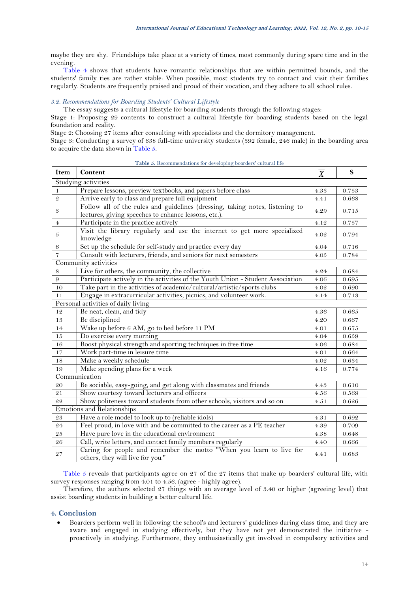maybe they are shy. Friendships take place at a variety of times, most commonly during spare time and in the evening.

[Table 4](#page-3-1) shows that students have romantic relationships that are within permitted bounds, and the students' family ties are rather stable: When possible, most students try to contact and visit their families regularly. Students are frequently praised and proud of their vocation, and they adhere to all school rules.

# *3.2. Recommendations for Boarding Students' Cultural Lifestyle*

The essay suggests a cultural lifestyle for boarding students through the following stages:

Stage 1: Proposing 29 contents to construct a cultural lifestyle for boarding students based on the legal foundation and reality.

Stage 2: Choosing 27 items after consulting with specialists and the dormitory management.

Stage 3: Conducting a survey of 638 full-time university students (392 female, 246 male) in the boarding area to acquire the data shown in [Table 5.](#page-4-0)

<span id="page-4-0"></span>

| Item                       | Content                                                                                                                              | $\boldsymbol{X}$ | ${\bf S}$ |
|----------------------------|--------------------------------------------------------------------------------------------------------------------------------------|------------------|-----------|
|                            | Studying activities                                                                                                                  |                  |           |
| $\mathbf{1}$               | Prepare lessons, preview textbooks, and papers before class                                                                          | $4.33\,$         | 0.753     |
| $\sqrt{2}$                 | Arrive early to class and prepare full equipment                                                                                     | 4.41             | 0.668     |
| $\boldsymbol{\mathcal{S}}$ | Follow all of the rules and guidelines (dressing, taking notes, listening to<br>lectures, giving speeches to enhance lessons, etc.). | 4.29             | 0.715     |
| $\bf 4$                    | Participate in the practice actively                                                                                                 | 4.12             | 0.757     |
| 5                          | Visit the library regularly and use the internet to get more specialized<br>knowledge                                                | 4.02             | 0.794     |
| $\,6\,$                    | Set up the schedule for self-study and practice every day                                                                            | 4.04             | $0.716\,$ |
| $\overline{7}$             | Consult with lecturers, friends, and seniors for next semesters                                                                      | 4.05             | 0.784     |
|                            | Community activities                                                                                                                 |                  |           |
| 8                          | Live for others, the community, the collective                                                                                       | 4.24             | 0.684     |
| $9\,$                      | Participate actively in the activities of the Youth Union - Student Association                                                      | 4.06             | 0.695     |
| 10                         | Take part in the activities of academic/cultural/artistic/sports clubs                                                               | $4.02\,$         | 0.690     |
| 11                         | Engage in extracurricular activities, picnics, and volunteer work.                                                                   | 4.14             | 0.713     |
|                            | Personal activities of daily living                                                                                                  |                  |           |
| $1\,2$                     | Be neat, clean, and tidy                                                                                                             | 4.36             | 0.665     |
| 13                         | Be disciplined                                                                                                                       | 4.20             | 0.667     |
| 14                         | Wake up before 6 AM, go to bed before 11 PM                                                                                          | 4.01             | 0.675     |
| 15                         | Do exercise every morning                                                                                                            | 4.04             | 0.659     |
| 16                         | Boost physical strength and sporting techniques in free time                                                                         | 4.06             | 0.684     |
| $17\,$                     | Work part-time in leisure time                                                                                                       | 4.01             | 0.664     |
| $18\,$                     | Make a weekly schedule                                                                                                               | 4.02             | 0.634     |
| $19\,$                     | Make spending plans for a week                                                                                                       | 4.16             | 0.774     |
|                            | Communication                                                                                                                        |                  |           |
| $20\,$                     | Be sociable, easy-going, and get along with classmates and friends                                                                   | 4.43             | 0.610     |
| $\sqrt{2}\,1$              | Show courtesy toward lecturers and officers                                                                                          | 4.56             | 0.569     |
| 22                         | Show politeness toward students from other schools, visitors and so on                                                               | 4.51             | 0.626     |
|                            | Emotions and Relationships                                                                                                           |                  |           |
| $\sqrt{23}$                | Have a role model to look up to (reliable idols)                                                                                     | 4.31             | 0.692     |
| 24                         | Feel proud, in love with and be committed to the career as a PE teacher                                                              | $4.39\,$         | 0.709     |
| $\rm 25$                   | Have pure love in the educational environment                                                                                        | $4.38\,$         | 0.648     |
| ${\bf 26}$                 | Call, write letters, and contact family members regularly                                                                            | $4.40\,$         | 0.666     |
| $\sqrt{27}$                | Caring for people and remember the motto "When you learn to live for<br>others, they will live for you."                             | 4.41             | 0.683     |

**Table 5.** Recommendations for developing boarders' cultural life

[Table 5](#page-4-0) reveals that participants agree on 27 of the 27 items that make up boarders' cultural life, with survey responses ranging from 4.01 to 4.56. (agree - highly agree).

Therefore, the authors selected 27 things with an average level of 3.40 or higher (agreeing level) that assist boarding students in building a better cultural life.

## **4. Conclusion**

• Boarders perform well in following the school's and lecturers' guidelines during class time, and they are aware and engaged in studying effectively, but they have not yet demonstrated the initiative proactively in studying. Furthermore, they enthusiastically get involved in compulsory activities and